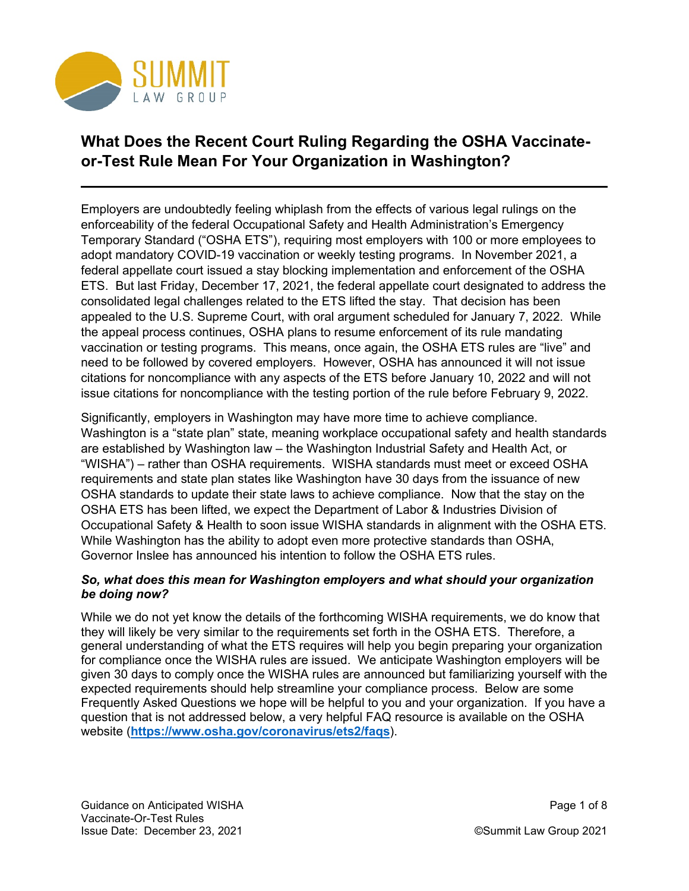

# **What Does the Recent Court Ruling Regarding the OSHA Vaccinateor-Test Rule Mean For Your Organization in Washington?**

Employers are undoubtedly feeling whiplash from the effects of various legal rulings on the enforceability of the federal Occupational Safety and Health Administration's Emergency Temporary Standard ("OSHA ETS"), requiring most employers with 100 or more employees to adopt mandatory COVID-19 vaccination or weekly testing programs. In November 2021, a federal appellate court issued a stay blocking implementation and enforcement of the OSHA ETS. But last Friday, December 17, 2021, the federal appellate court designated to address the consolidated legal challenges related to the ETS lifted the stay. That decision has been appealed to the U.S. Supreme Court, with oral argument scheduled for January 7, 2022. While the appeal process continues, OSHA plans to resume enforcement of its rule mandating vaccination or testing programs. This means, once again, the OSHA ETS rules are "live" and need to be followed by covered employers. However, OSHA has announced it will not issue citations for noncompliance with any aspects of the ETS before January 10, 2022 and will not issue citations for noncompliance with the testing portion of the rule before February 9, 2022.

Significantly, employers in Washington may have more time to achieve compliance. Washington is a "state plan" state, meaning workplace occupational safety and health standards are established by Washington law – the Washington Industrial Safety and Health Act, or "WISHA") – rather than OSHA requirements. WISHA standards must meet or exceed OSHA requirements and state plan states like Washington have 30 days from the issuance of new OSHA standards to update their state laws to achieve compliance. Now that the stay on the OSHA ETS has been lifted, we expect the Department of Labor & Industries Division of Occupational Safety & Health to soon issue WISHA standards in alignment with the OSHA ETS. While Washington has the ability to adopt even more protective standards than OSHA, Governor Inslee has announced his intention to follow the OSHA ETS rules.

## *So, what does this mean for Washington employers and what should your organization be doing now?*

While we do not yet know the details of the forthcoming WISHA requirements, we do know that they will likely be very similar to the requirements set forth in the OSHA ETS. Therefore, a general understanding of what the ETS requires will help you begin preparing your organization for compliance once the WISHA rules are issued. We anticipate Washington employers will be given 30 days to comply once the WISHA rules are announced but familiarizing yourself with the expected requirements should help streamline your compliance process. Below are some Frequently Asked Questions we hope will be helpful to you and your organization. If you have a question that is not addressed below, a very helpful FAQ resource is available on the OSHA website (**<https://www.osha.gov/coronavirus/ets2/faqs>**).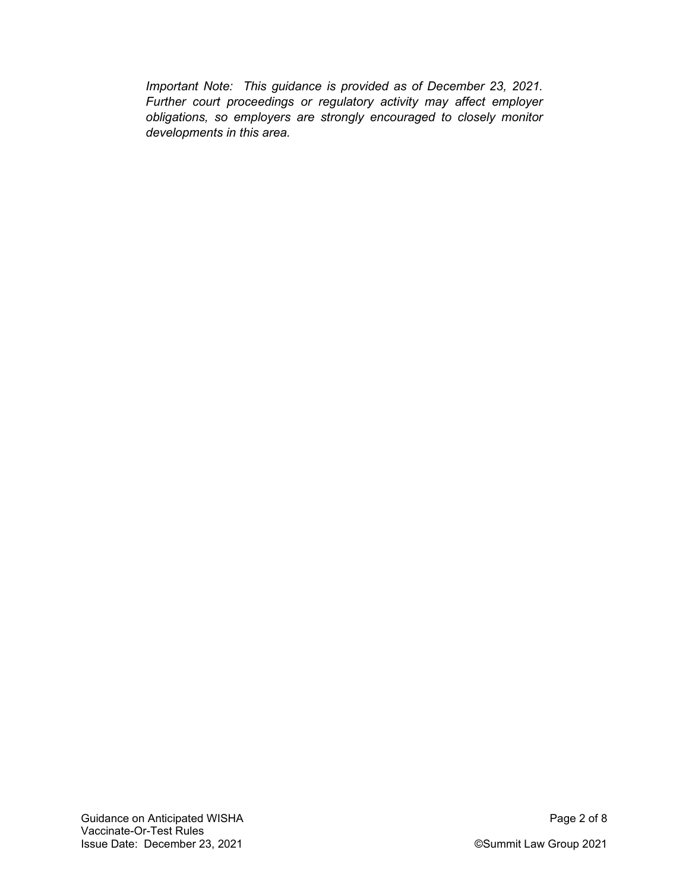*Important Note: This guidance is provided as of December 23, 2021. Further court proceedings or regulatory activity may affect employer obligations, so employers are strongly encouraged to closely monitor developments in this area.*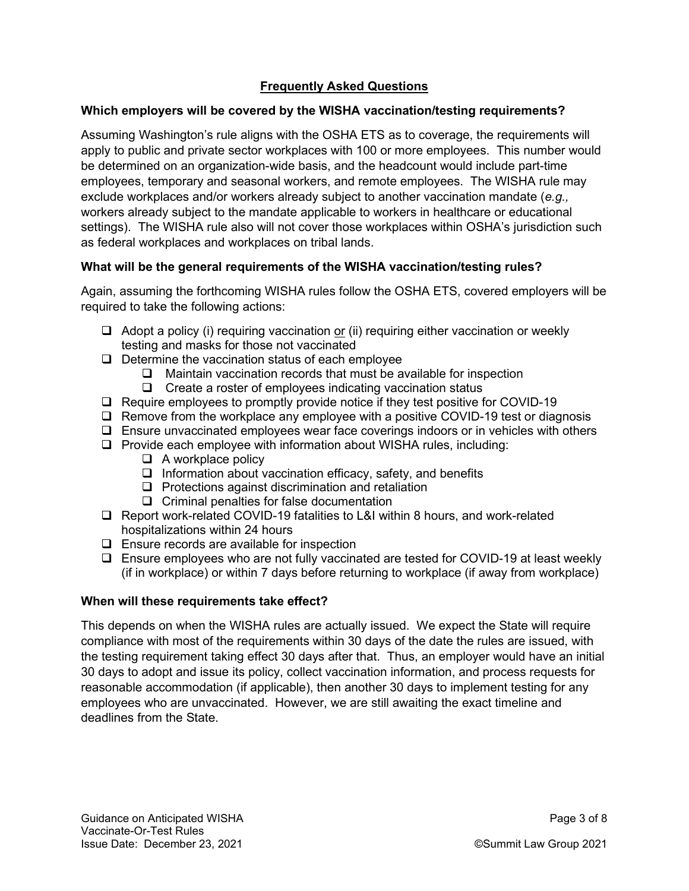## **Frequently Asked Questions**

## **Which employers will be covered by the WISHA vaccination/testing requirements?**

Assuming Washington's rule aligns with the OSHA ETS as to coverage, the requirements will apply to public and private sector workplaces with 100 or more employees. This number would be determined on an organization-wide basis, and the headcount would include part-time employees, temporary and seasonal workers, and remote employees. The WISHA rule may exclude workplaces and/or workers already subject to another vaccination mandate (*e.g.,* workers already subject to the mandate applicable to workers in healthcare or educational settings). The WISHA rule also will not cover those workplaces within OSHA's jurisdiction such as federal workplaces and workplaces on tribal lands.

## **What will be the general requirements of the WISHA vaccination/testing rules?**

Again, assuming the forthcoming WISHA rules follow the OSHA ETS, covered employers will be required to take the following actions:

- $\Box$  Adopt a policy (i) requiring vaccination or (ii) requiring either vaccination or weekly testing and masks for those not vaccinated
- $\Box$  Determine the vaccination status of each employee
	- $\Box$  Maintain vaccination records that must be available for inspection
	- $\Box$  Create a roster of employees indicating vaccination status
- □ Require employees to promptly provide notice if they test positive for COVID-19
- $\Box$  Remove from the workplace any employee with a positive COVID-19 test or diagnosis
- $\Box$  Ensure unvaccinated employees wear face coverings indoors or in vehicles with others
- $\Box$  Provide each employee with information about WISHA rules, including:
	- $\Box$  A workplace policy
	- $\Box$  Information about vaccination efficacy, safety, and benefits
	- $\Box$  Protections against discrimination and retaliation
	- $\Box$  Criminal penalties for false documentation
- $\Box$  Report work-related COVID-19 fatalities to L&I within 8 hours, and work-related hospitalizations within 24 hours
- $\Box$  Ensure records are available for inspection
- $\Box$  Ensure employees who are not fully vaccinated are tested for COVID-19 at least weekly (if in workplace) or within 7 days before returning to workplace (if away from workplace)

#### **When will these requirements take effect?**

This depends on when the WISHA rules are actually issued. We expect the State will require compliance with most of the requirements within 30 days of the date the rules are issued, with the testing requirement taking effect 30 days after that. Thus, an employer would have an initial 30 days to adopt and issue its policy, collect vaccination information, and process requests for reasonable accommodation (if applicable), then another 30 days to implement testing for any employees who are unvaccinated. However, we are still awaiting the exact timeline and deadlines from the State.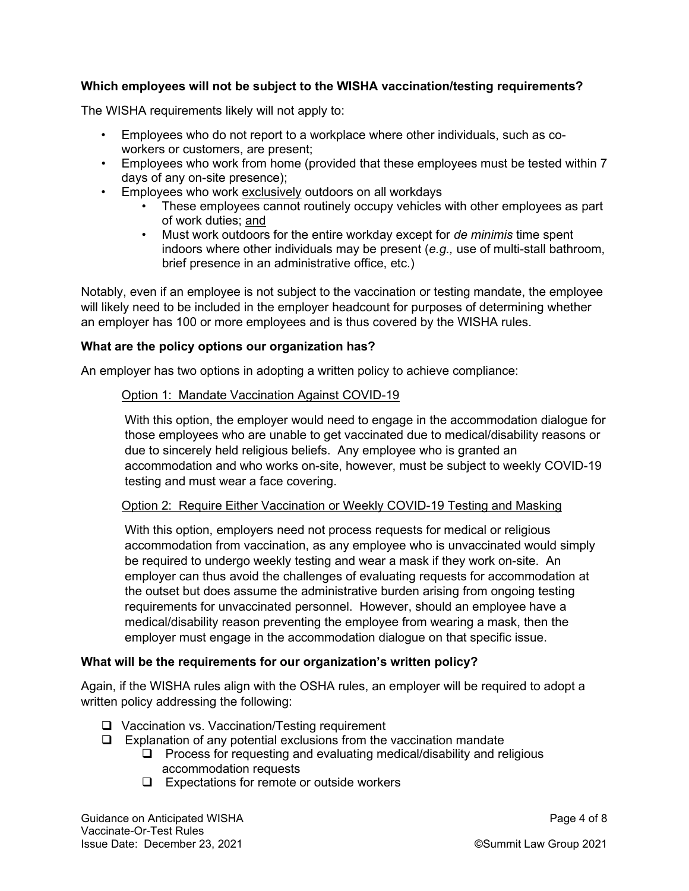## **Which employees will not be subject to the WISHA vaccination/testing requirements?**

The WISHA requirements likely will not apply to:

- Employees who do not report to a workplace where other individuals, such as coworkers or customers, are present;
- Employees who work from home (provided that these employees must be tested within 7 days of any on-site presence);
- Employees who work exclusively outdoors on all workdays
	- These employees cannot routinely occupy vehicles with other employees as part of work duties; and
	- Must work outdoors for the entire workday except for *de minimis* time spent indoors where other individuals may be present (*e.g.,* use of multi-stall bathroom, brief presence in an administrative office, etc.)

Notably, even if an employee is not subject to the vaccination or testing mandate, the employee will likely need to be included in the employer headcount for purposes of determining whether an employer has 100 or more employees and is thus covered by the WISHA rules.

#### **What are the policy options our organization has?**

An employer has two options in adopting a written policy to achieve compliance:

#### Option 1: Mandate Vaccination Against COVID-19

With this option, the employer would need to engage in the accommodation dialogue for those employees who are unable to get vaccinated due to medical/disability reasons or due to sincerely held religious beliefs. Any employee who is granted an accommodation and who works on-site, however, must be subject to weekly COVID-19 testing and must wear a face covering.

#### Option 2: Require Either Vaccination or Weekly COVID-19 Testing and Masking

With this option, employers need not process requests for medical or religious accommodation from vaccination, as any employee who is unvaccinated would simply be required to undergo weekly testing and wear a mask if they work on-site. An employer can thus avoid the challenges of evaluating requests for accommodation at the outset but does assume the administrative burden arising from ongoing testing requirements for unvaccinated personnel. However, should an employee have a medical/disability reason preventing the employee from wearing a mask, then the employer must engage in the accommodation dialogue on that specific issue.

#### **What will be the requirements for our organization's written policy?**

Again, if the WISHA rules align with the OSHA rules, an employer will be required to adopt a written policy addressing the following:

- □ Vaccination vs. Vaccination/Testing requirement
- $\Box$  Explanation of any potential exclusions from the vaccination mandate
	- $\Box$  Process for requesting and evaluating medical/disability and religious accommodation requests
	- $\Box$  Expectations for remote or outside workers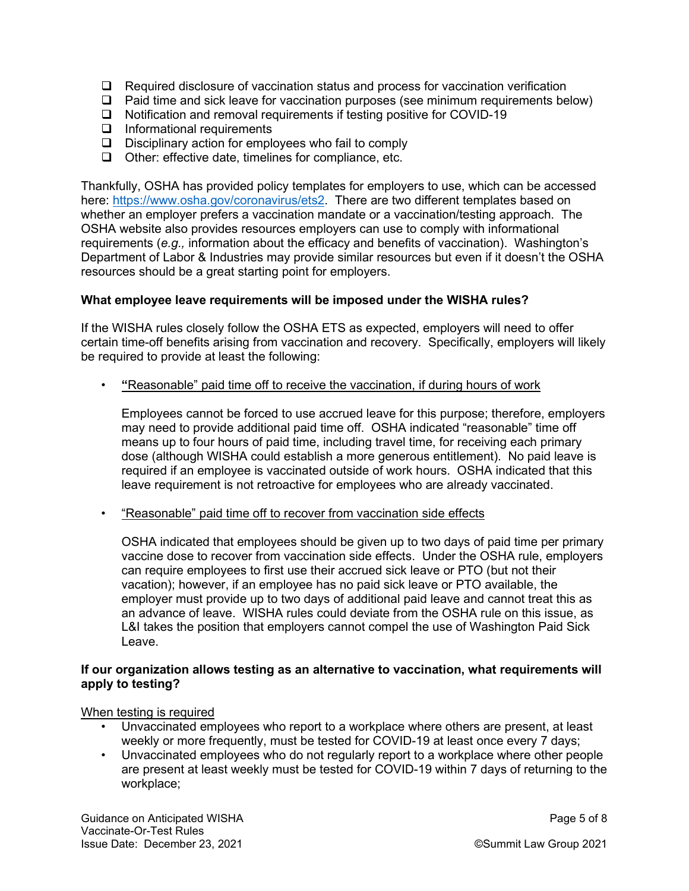- $\Box$  Required disclosure of vaccination status and process for vaccination verification
- $\Box$  Paid time and sick leave for vaccination purposes (see minimum requirements below)
- □ Notification and removal requirements if testing positive for COVID-19
- $\Box$  Informational requirements
- $\Box$  Disciplinary action for employees who fail to comply
- $\Box$  Other: effective date, timelines for compliance, etc.

Thankfully, OSHA has provided policy templates for employers to use, which can be accessed here: [https://www.osha.gov/coronavirus/ets2.](https://www.osha.gov/coronavirus/ets2) There are two different templates based on whether an employer prefers a vaccination mandate or a vaccination/testing approach. The OSHA website also provides resources employers can use to comply with informational requirements (*e.g.,* information about the efficacy and benefits of vaccination). Washington's Department of Labor & Industries may provide similar resources but even if it doesn't the OSHA resources should be a great starting point for employers.

#### **What employee leave requirements will be imposed under the WISHA rules?**

If the WISHA rules closely follow the OSHA ETS as expected, employers will need to offer certain time-off benefits arising from vaccination and recovery. Specifically, employers will likely be required to provide at least the following:

• **"**Reasonable" paid time off to receive the vaccination, if during hours of work

Employees cannot be forced to use accrued leave for this purpose; therefore, employers may need to provide additional paid time off. OSHA indicated "reasonable" time off means up to four hours of paid time, including travel time, for receiving each primary dose (although WISHA could establish a more generous entitlement). No paid leave is required if an employee is vaccinated outside of work hours. OSHA indicated that this leave requirement is not retroactive for employees who are already vaccinated.

• "Reasonable" paid time off to recover from vaccination side effects

OSHA indicated that employees should be given up to two days of paid time per primary vaccine dose to recover from vaccination side effects. Under the OSHA rule, employers can require employees to first use their accrued sick leave or PTO (but not their vacation); however, if an employee has no paid sick leave or PTO available, the employer must provide up to two days of additional paid leave and cannot treat this as an advance of leave. WISHA rules could deviate from the OSHA rule on this issue, as L&I takes the position that employers cannot compel the use of Washington Paid Sick Leave.

#### **If our organization allows testing as an alternative to vaccination, what requirements will apply to testing?**

When testing is required

- Unvaccinated employees who report to a workplace where others are present, at least weekly or more frequently, must be tested for COVID-19 at least once every 7 days;
- Unvaccinated employees who do not regularly report to a workplace where other people are present at least weekly must be tested for COVID-19 within 7 days of returning to the workplace;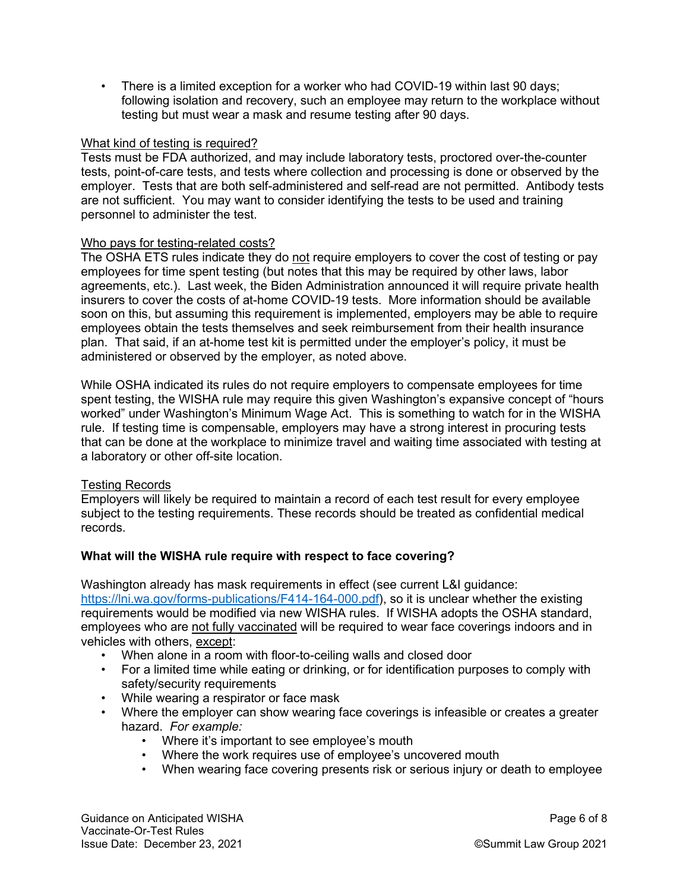• There is a limited exception for a worker who had COVID-19 within last 90 days; following isolation and recovery, such an employee may return to the workplace without testing but must wear a mask and resume testing after 90 days.

#### What kind of testing is required?

Tests must be FDA authorized, and may include laboratory tests, proctored over-the-counter tests, point-of-care tests, and tests where collection and processing is done or observed by the employer. Tests that are both self-administered and self-read are not permitted. Antibody tests are not sufficient. You may want to consider identifying the tests to be used and training personnel to administer the test.

#### Who pays for testing-related costs?

The OSHA ETS rules indicate they do not require employers to cover the cost of testing or pay employees for time spent testing (but notes that this may be required by other laws, labor agreements, etc.). Last week, the Biden Administration announced it will require private health insurers to cover the costs of at-home COVID-19 tests. More information should be available soon on this, but assuming this requirement is implemented, employers may be able to require employees obtain the tests themselves and seek reimbursement from their health insurance plan. That said, if an at-home test kit is permitted under the employer's policy, it must be administered or observed by the employer, as noted above.

While OSHA indicated its rules do not require employers to compensate employees for time spent testing, the WISHA rule may require this given Washington's expansive concept of "hours worked" under Washington's Minimum Wage Act. This is something to watch for in the WISHA rule. If testing time is compensable, employers may have a strong interest in procuring tests that can be done at the workplace to minimize travel and waiting time associated with testing at a laboratory or other off-site location.

#### Testing Records

Employers will likely be required to maintain a record of each test result for every employee subject to the testing requirements. These records should be treated as confidential medical records.

#### **What will the WISHA rule require with respect to face covering?**

Washington already has mask requirements in effect (see current L&I guidance: [https://lni.wa.gov/forms-publications/F414-164-000.pdf\)](https://lni.wa.gov/forms-publications/F414-164-000.pdf), so it is unclear whether the existing requirements would be modified via new WISHA rules. If WISHA adopts the OSHA standard, employees who are not fully vaccinated will be required to wear face coverings indoors and in vehicles with others, except:

- When alone in a room with floor-to-ceiling walls and closed door
- For a limited time while eating or drinking, or for identification purposes to comply with safety/security requirements
- While wearing a respirator or face mask
- Where the employer can show wearing face coverings is infeasible or creates a greater hazard. *For example:*
	- Where it's important to see employee's mouth
	- Where the work requires use of employee's uncovered mouth
	- When wearing face covering presents risk or serious injury or death to employee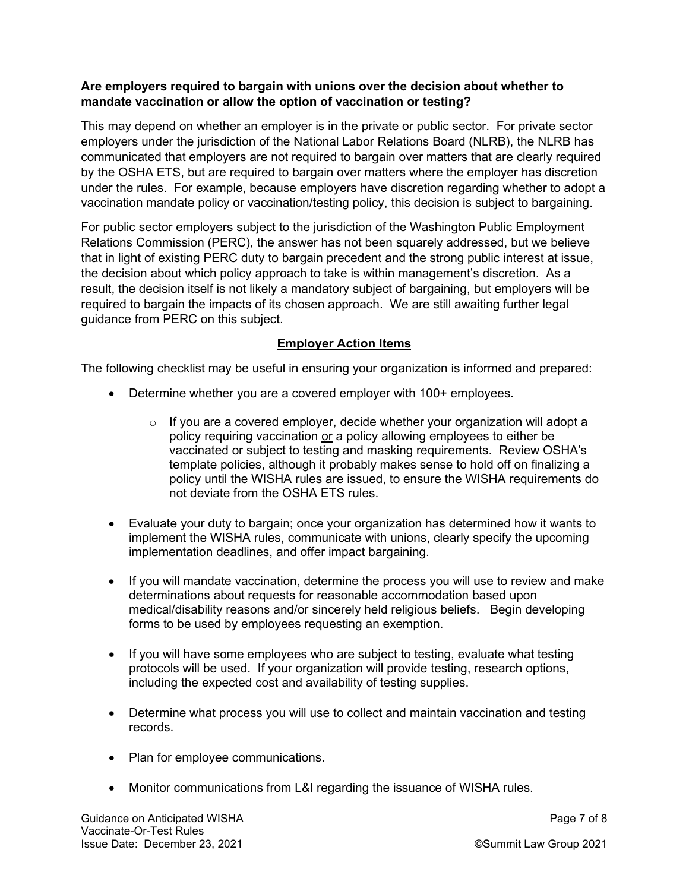## **Are employers required to bargain with unions over the decision about whether to mandate vaccination or allow the option of vaccination or testing?**

This may depend on whether an employer is in the private or public sector. For private sector employers under the jurisdiction of the National Labor Relations Board (NLRB), the NLRB has communicated that employers are not required to bargain over matters that are clearly required by the OSHA ETS, but are required to bargain over matters where the employer has discretion under the rules. For example, because employers have discretion regarding whether to adopt a vaccination mandate policy or vaccination/testing policy, this decision is subject to bargaining.

For public sector employers subject to the jurisdiction of the Washington Public Employment Relations Commission (PERC), the answer has not been squarely addressed, but we believe that in light of existing PERC duty to bargain precedent and the strong public interest at issue, the decision about which policy approach to take is within management's discretion. As a result, the decision itself is not likely a mandatory subject of bargaining, but employers will be required to bargain the impacts of its chosen approach. We are still awaiting further legal guidance from PERC on this subject.

## **Employer Action Items**

The following checklist may be useful in ensuring your organization is informed and prepared:

- Determine whether you are a covered employer with 100+ employees.
	- $\circ$  If you are a covered employer, decide whether your organization will adopt a policy requiring vaccination or a policy allowing employees to either be vaccinated or subject to testing and masking requirements. Review OSHA's template policies, although it probably makes sense to hold off on finalizing a policy until the WISHA rules are issued, to ensure the WISHA requirements do not deviate from the OSHA ETS rules.
- Evaluate your duty to bargain; once your organization has determined how it wants to implement the WISHA rules, communicate with unions, clearly specify the upcoming implementation deadlines, and offer impact bargaining.
- If you will mandate vaccination, determine the process you will use to review and make determinations about requests for reasonable accommodation based upon medical/disability reasons and/or sincerely held religious beliefs. Begin developing forms to be used by employees requesting an exemption.
- If you will have some employees who are subject to testing, evaluate what testing protocols will be used. If your organization will provide testing, research options, including the expected cost and availability of testing supplies.
- Determine what process you will use to collect and maintain vaccination and testing records.
- Plan for employee communications.
- Monitor communications from L&I regarding the issuance of WISHA rules.